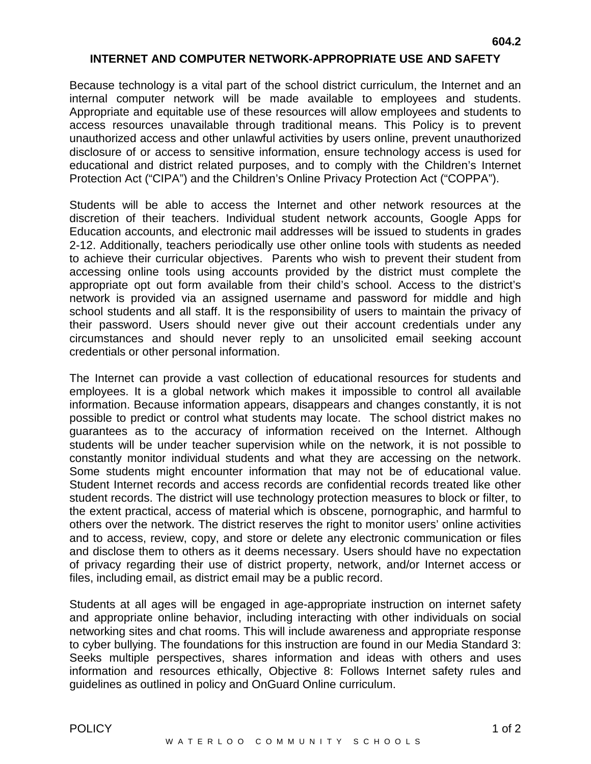## **INTERNET AND COMPUTER NETWORK-APPROPRIATE USE AND SAFETY**

Because technology is a vital part of the school district curriculum, the Internet and an internal computer network will be made available to employees and students. Appropriate and equitable use of these resources will allow employees and students to access resources unavailable through traditional means. This Policy is to prevent unauthorized access and other unlawful activities by users online, prevent unauthorized disclosure of or access to sensitive information, ensure technology access is used for educational and district related purposes, and to comply with the Children's Internet Protection Act ("CIPA") and the Children's Online Privacy Protection Act ("COPPA").

Students will be able to access the Internet and other network resources at the discretion of their teachers. Individual student network accounts, Google Apps for Education accounts, and electronic mail addresses will be issued to students in grades 2-12. Additionally, teachers periodically use other online tools with students as needed to achieve their curricular objectives. Parents who wish to prevent their student from accessing online tools using accounts provided by the district must complete the appropriate opt out form available from their child's school. Access to the district's network is provided via an assigned username and password for middle and high school students and all staff. It is the responsibility of users to maintain the privacy of their password. Users should never give out their account credentials under any circumstances and should never reply to an unsolicited email seeking account credentials or other personal information.

The Internet can provide a vast collection of educational resources for students and employees. It is a global network which makes it impossible to control all available information. Because information appears, disappears and changes constantly, it is not possible to predict or control what students may locate. The school district makes no guarantees as to the accuracy of information received on the Internet. Although students will be under teacher supervision while on the network, it is not possible to constantly monitor individual students and what they are accessing on the network. Some students might encounter information that may not be of educational value. Student Internet records and access records are confidential records treated like other student records. The district will use technology protection measures to block or filter, to the extent practical, access of material which is obscene, pornographic, and harmful to others over the network. The district reserves the right to monitor users' online activities and to access, review, copy, and store or delete any electronic communication or files and disclose them to others as it deems necessary. Users should have no expectation of privacy regarding their use of district property, network, and/or Internet access or files, including email, as district email may be a public record.

Students at all ages will be engaged in age-appropriate instruction on internet safety and appropriate online behavior, including interacting with other individuals on social networking sites and chat rooms. This will include awareness and appropriate response to cyber bullying. The foundations for this instruction are found in our Media Standard 3: Seeks multiple perspectives, shares information and ideas with others and uses information and resources ethically, Objective 8: Follows Internet safety rules and guidelines as outlined in policy and OnGuard Online curriculum.